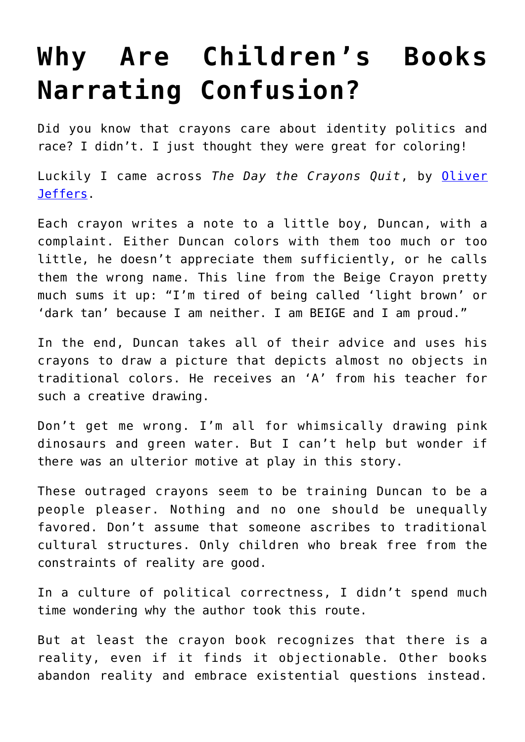## **[Why Are Children's Books](https://intellectualtakeout.org/2019/08/why-are-childrens-books-narrating-confusion/) [Narrating Confusion?](https://intellectualtakeout.org/2019/08/why-are-childrens-books-narrating-confusion/)**

Did you know that crayons care about identity politics and race? I didn't. I just thought they were great for coloring!

Luckily I came across *The Day the Crayons Quit*, by [Oliver](https://www.youtube.com/watch?v=489micE6eHU) [Jeffers](https://www.youtube.com/watch?v=489micE6eHU).

Each crayon writes a note to a little boy, Duncan, with a complaint. Either Duncan colors with them too much or too little, he doesn't appreciate them sufficiently, or he calls them the wrong name. This line from the Beige Crayon pretty much sums it up: "I'm tired of being called 'light brown' or 'dark tan' because I am neither. I am BEIGE and I am proud."

In the end, Duncan takes all of their advice and uses his crayons to draw a picture that depicts almost no objects in traditional colors. He receives an 'A' from his teacher for such a creative drawing.

Don't get me wrong. I'm all for whimsically drawing pink dinosaurs and green water. But I can't help but wonder if there was an ulterior motive at play in this story.

These outraged crayons seem to be training Duncan to be a people pleaser. Nothing and no one should be unequally favored. Don't assume that someone ascribes to traditional cultural structures. Only children who break free from the constraints of reality are good.

In a culture of political correctness, I didn't spend much time wondering why the author took this route.

But at least the crayon book recognizes that there is a reality, even if it finds it objectionable. Other books abandon reality and embrace existential questions instead.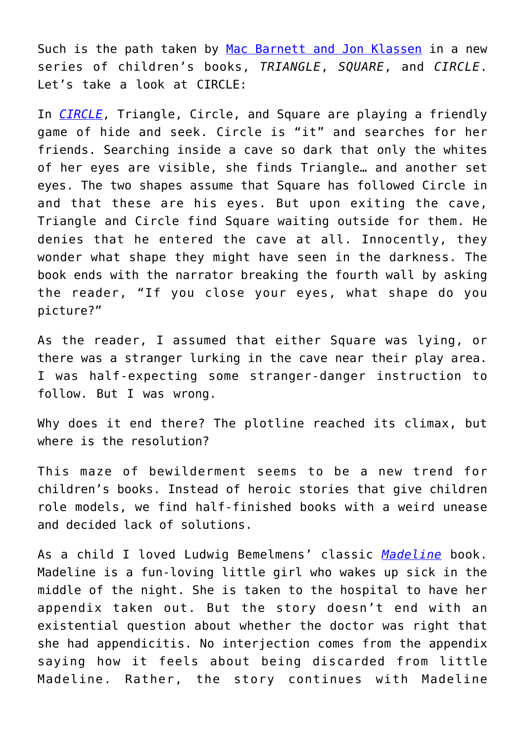Such is the path taken by [Mac Barnett and Jon Klassen](https://www.artofthepicturebook.com/mac-barnett) in a new series of children's books, *TRIANGLE*, *SQUARE*, and *CIRCLE*. Let's take a look at CIRCLE:

In *[CIRCLE](https://www.penguinrandomhouse.com/books/604789/circle-by-mac-barnett/9780763696085/)*, Triangle, Circle, and Square are playing a friendly game of hide and seek. Circle is "it" and searches for her friends. Searching inside a cave so dark that only the whites of her eyes are visible, she finds Triangle… and another set eyes. The two shapes assume that Square has followed Circle in and that these are his eyes. But upon exiting the cave, Triangle and Circle find Square waiting outside for them. He denies that he entered the cave at all. Innocently, they wonder what shape they might have seen in the darkness. The book ends with the narrator breaking the fourth wall by asking the reader, "If you close your eyes, what shape do you picture?"

As the reader, I assumed that either Square was lying, or there was a stranger lurking in the cave near their play area. I was half-expecting some stranger-danger instruction to follow. But I was wrong.

Why does it end there? The plotline reached its climax, but where is the resolution?

This maze of bewilderment seems to be a new trend for children's books. Instead of heroic stories that give children role models, we find half-finished books with a weird unease and decided lack of solutions.

As a child I loved Ludwig Bemelmens' classic *[Madeline](https://www.amazon.com/gp/product/0670445800/ref=as_li_qf_asin_il_tl?ie=UTF8&tag=intelltakeo0d-20&creative=9325&linkCode=as2&creativeASIN=0670445800&linkId=c39d170ce1c9f1caf66cbff3bc2d32e7)* book. Madeline is a fun-loving little girl who wakes up sick in the middle of the night. She is taken to the hospital to have her appendix taken out. But the story doesn't end with an existential question about whether the doctor was right that she had appendicitis. No interjection comes from the appendix saying how it feels about being discarded from little Madeline. Rather, the story continues with Madeline